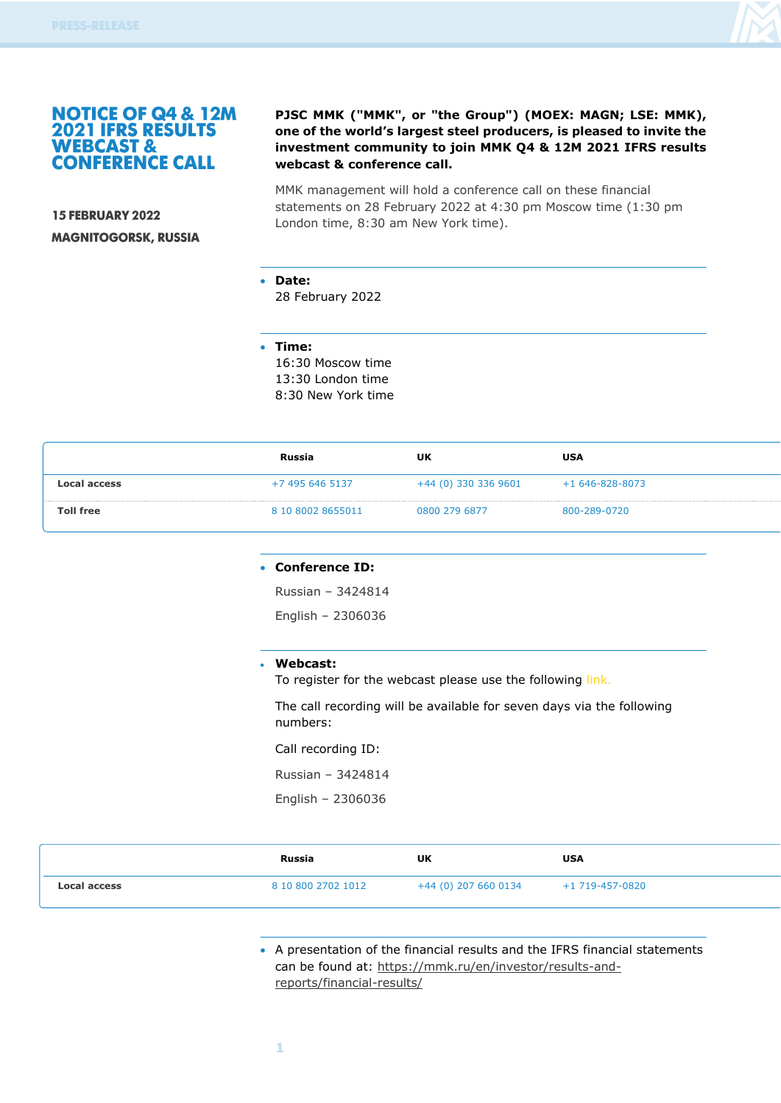

## **NOTICE OF Q4 & 12M 2021 IFRS RESULTS WEBCAST & CONFERENCE CALL**

**15 FEBRUARY 2022 MAGNITOGORSK, RUSSIA** 

## **PJSC MMK ("MMK", or "the Group") (MOEX: MAGN; LSE: MMK), one of the world's largest steel producers, is pleased to invite the investment community to join MMK Q4 & 12M 2021 IFRS results webcast & conference call.**

MMK management will hold a conference call on these financial statements on 28 February 2022 at 4:30 pm Moscow time (1:30 pm London time, 8:30 am New York time).

• **Date:** 

28 February 2022

• **Time:**

16:30 Moscow time 13:30 London time 8:30 New York time

|                  | Russia            | UK                     | USA                  |
|------------------|-------------------|------------------------|----------------------|
| Local access     | +7 495 646 5137   | $+44$ (0) 330 336 9601 | $+1646 - 828 - 8073$ |
| <b>Toll free</b> | 8 10 8002 8655011 | 0800 279 6877          | 800-289-0720         |

#### • **Conference ID:**

Russian – 3424814

English – 2306036

#### • **Webcast:**

To register for the webcast please use the following [link.](https://www.webcast-eqs.com/mmk20220228)

The call recording will be available for seven days via the following numbers:

Call recording ID:

Russian – 3424814

English – 2306036

|                     | Russia             | UK | <b>USA</b> |
|---------------------|--------------------|----|------------|
| <b>Local access</b> | 8 10 800 2702 1012 |    |            |

• A presentation of the financial results and the IFRS financial statements can be found at: [https://mmk.ru/en/investor/results-and](https://mmk.ru/en/investor/results-and-reports/financial-results/)[reports/financial-results/](https://mmk.ru/en/investor/results-and-reports/financial-results/)